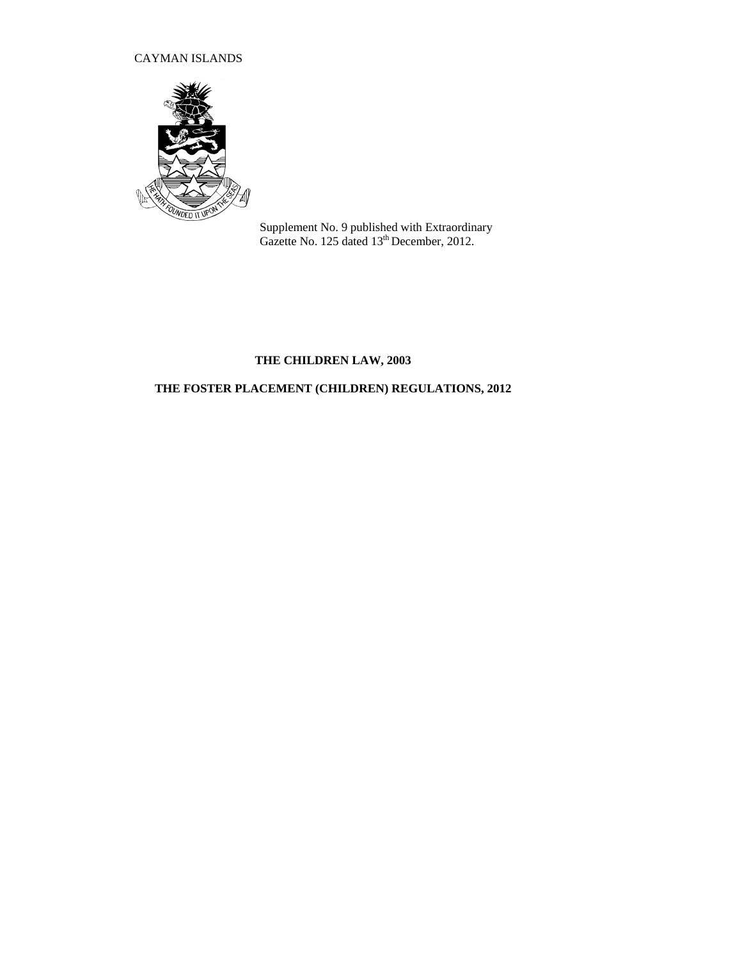## CAYMAN ISLANDS



Supplement No. 9 published with Extraordinary Gazette No. 125 dated 13<sup>th</sup> December, 2012.

# **THE CHILDREN LAW, 2003**

# **THE FOSTER PLACEMENT (CHILDREN) REGULATIONS, 2012**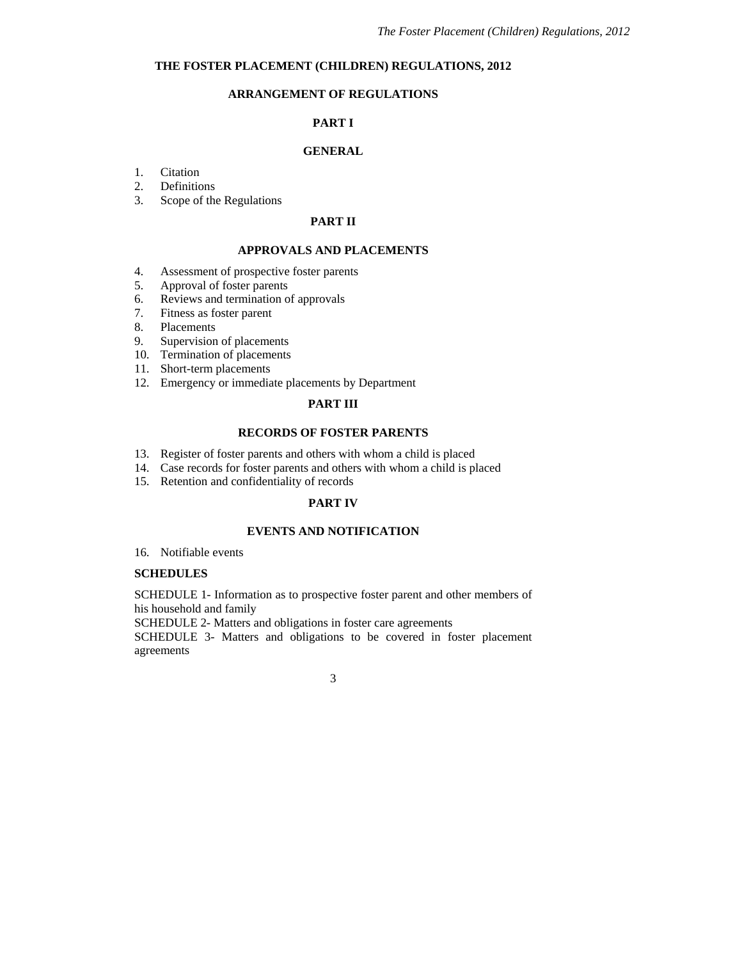## **THE FOSTER PLACEMENT (CHILDREN) REGULATIONS, 2012**

## **ARRANGEMENT OF REGULATIONS**

## **PART I**

### **GENERAL**

- [1.](http://www.opsi.gov.uk/si/si1991/Uksi_19910910_en_2.htm#mdiv1) Citation
- [2.](http://www.opsi.gov.uk/si/si1991/Uksi_19910910_en_2.htm#mdiv2) Definitions
- 3. Scope of the Regulations

## **PART II**

### **APPROVALS AND PLACEMENTS**

- [4.](http://www.opsi.gov.uk/si/si1991/Uksi_19910910_en_3.htm#mdiv3) Assessment of prospective foster parents
- [5.](http://www.opsi.gov.uk/si/si1991/Uksi_19910910_en_3.htm#mdiv4) Approval of foster parents
- [6.](http://www.opsi.gov.uk/si/si1991/Uksi_19910910_en_3.htm#mdiv5) Reviews and termination of approvals
- [7.](http://www.opsi.gov.uk/si/si1991/Uksi_19910910_en_3.htm#mdiv6) Fitness as foster parent
- **Placements**
- [9.](http://www.opsi.gov.uk/si/si1991/Uksi_19910910_en_3.htm#mdiv9) Supervision of placements
- [10.](http://www.opsi.gov.uk/si/si1991/Uksi_19910910_en_3.htm#mdiv10) Termination of placements
- 11. Short-term placements
- 12. Emergency or immediate placements by Department

## **PART III**

### **RECORDS OF FOSTER PARENTS**

- 13. Register of foster parents and others with whom a child is placed
- 14. Case records for foster parents and others with whom a child is placed
- 15. Retention and confidentiality of records

## **PART IV**

#### **EVENTS AND NOTIFICATION**

16. Notifiable events

## **SCHEDULES**

SCHEDULE 1- Information as to prospective foster parent and other members of his household and family

SCHEDULE 2- Matters and obligations in foster care agreements

SCHEDULE 3- Matters and obligations to be covered in foster placement agreements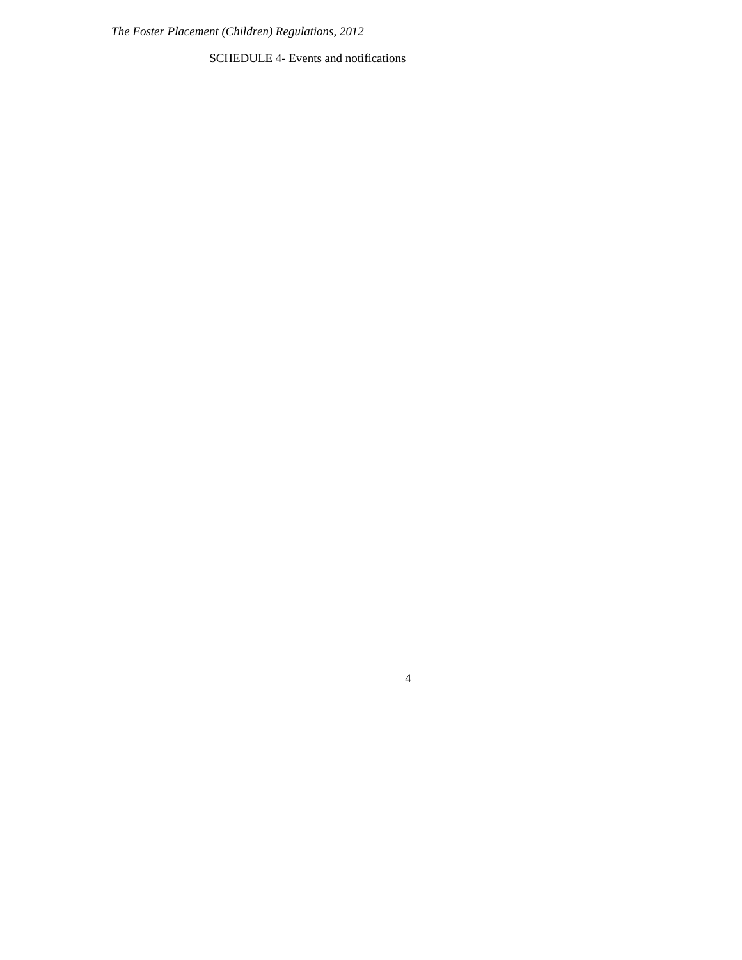SCHEDULE 4- Events and notifications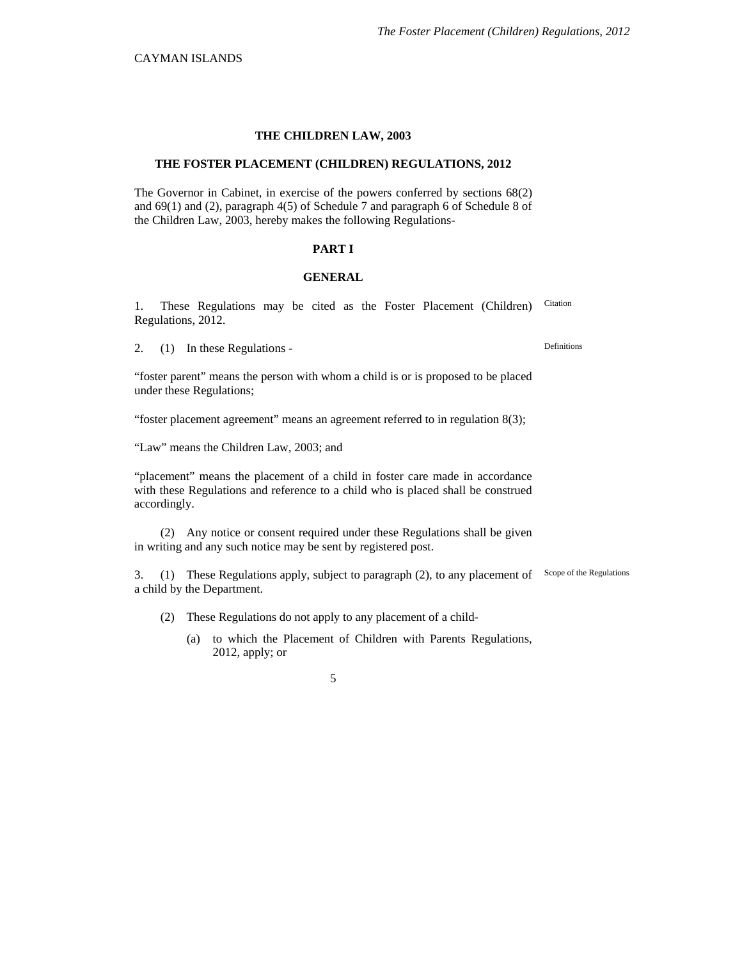#### **THE CHILDREN LAW, 2003**

#### **THE FOSTER PLACEMENT (CHILDREN) REGULATIONS, 2012**

The Governor in Cabinet, in exercise of the powers conferred by sections 68(2) and 69(1) and (2), paragraph 4(5) of Schedule 7 and paragraph 6 of Schedule 8 of the Children Law, 2003, hereby makes the following Regulations-

#### **PART I**

#### **GENERAL**

1. These Regulations may be cited as the Foster Placement (Children) Citation Regulations, 2012.

2. (1) In these Regulations - Definitions

"foster parent" means the person with whom a child is or is proposed to be placed under these Regulations;

"foster placement agreement" means an agreement referred to in regulation 8(3);

"Law" means the Children Law, 2003; and

"placement" means the placement of a child in foster care made in accordance with these Regulations and reference to a child who is placed shall be construed accordingly.

(2) Any notice or consent required under these Regulations shall be given in writing and any such notice may be sent by registered post.

3. (1) These Regulations apply, subject to paragraph (2), to any placement of Scope of the Regulations a child by the Department.

- (2) These Regulations do not apply to any placement of a child-
	- (a) to which the Placement of Children with Parents Regulations, 2012, apply; or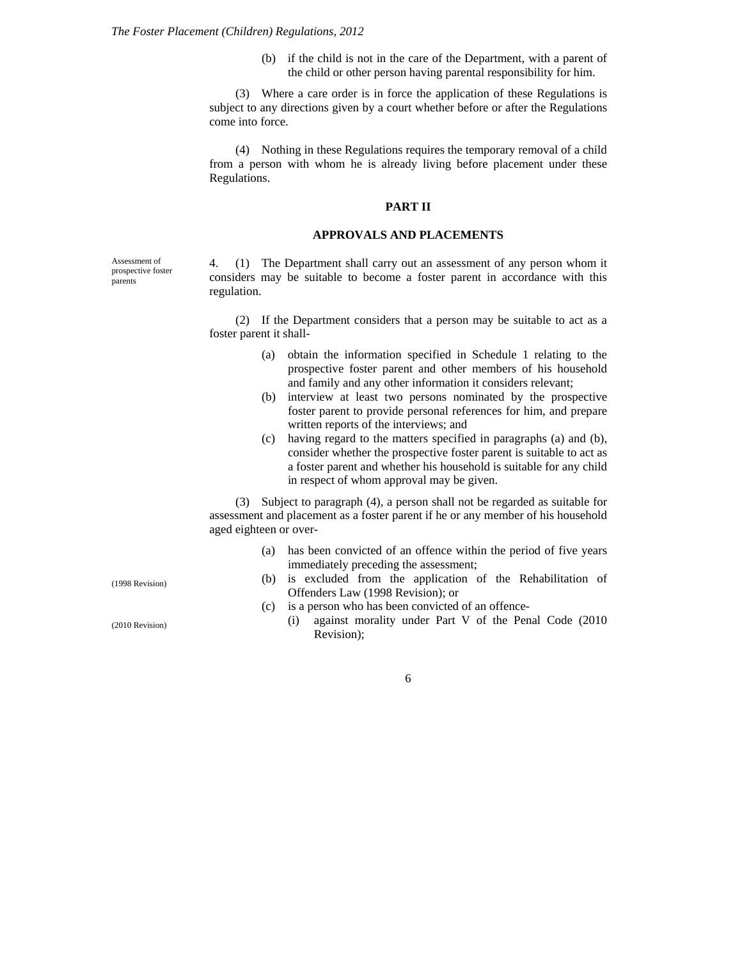(b) if the child is not in the care of the Department, with a parent of the child or other person having parental responsibility for him.

(3) Where a care order is in force the application of these Regulations is subject to any directions given by a court whether before or after the Regulations come into force.

(4) Nothing in these Regulations requires the temporary removal of a child from a person with whom he is already living before placement under these Regulations.

### **PART II**

#### **APPROVALS AND PLACEMENTS**

Assessment of prospective foster parents

4. (1) The Department shall carry out an assessment of any person whom it considers may be suitable to become a foster parent in accordance with this regulation.

(2) If the Department considers that a person may be suitable to act as a foster parent it shall-

- (a) obtain the information specified in Schedule 1 relating to the prospective foster parent and other members of his household and family and any other information it considers relevant;
- (b) interview at least two persons nominated by the prospective foster parent to provide personal references for him, and prepare written reports of the interviews; and
- (c) having regard to the matters specified in paragraphs (a) and (b), consider whether the prospective foster parent is suitable to act as a foster parent and whether his household is suitable for any child in respect of whom approval may be given.

(3) Subject to paragraph (4), a person shall not be regarded as suitable for assessment and placement as a foster parent if he or any member of his household aged eighteen or over-

- (a) has been convicted of an offence within the period of five years immediately preceding the assessment;
- (b) is excluded from the application of the Rehabilitation of Offenders Law (1998 Revision); or
- (c) is a person who has been convicted of an offence-
	- (i) against morality under Part V of the Penal Code (2010 Revision);

(1998 Revision)

(2010 Revision)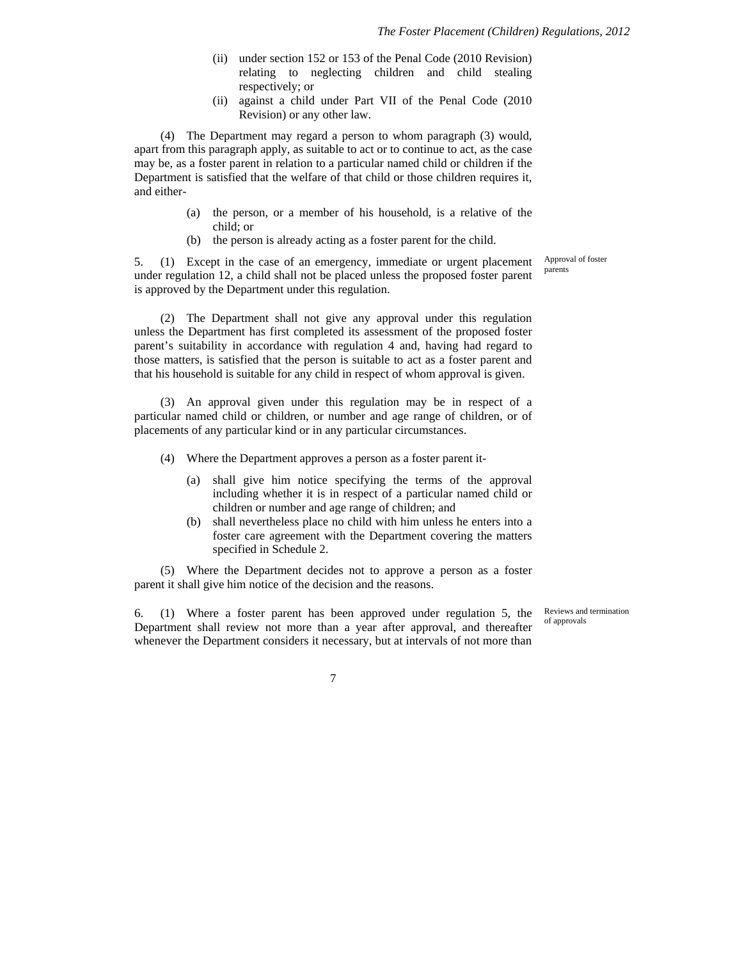- (ii) under section 152 or 153 of the Penal Code (2010 Revision) relating to neglecting children and child stealing respectively; or
- (ii) against a child under Part VII of the Penal Code (2010 Revision) or any other law.

(4) The Department may regard a person to whom paragraph (3) would, apart from this paragraph apply, as suitable to act or to continue to act, as the case may be, as a foster parent in relation to a particular named child or children if the Department is satisfied that the welfare of that child or those children requires it, and either-

- (a) the person, or a member of his household, is a relative of the child; or
- (b) the person is already acting as a foster parent for the child.

5. (1) Except in the case of an emergency, immediate or urgent placement under regulation 12, a child shall not be placed unless the proposed foster parent is approved by the Department under this regulation.

(2) The Department shall not give any approval under this regulation unless the Department has first completed its assessment of the proposed foster parent's suitability in accordance with regulation 4 and, having had regard to those matters, is satisfied that the person is suitable to act as a foster parent and that his household is suitable for any child in respect of whom approval is given.

(3) An approval given under this regulation may be in respect of a particular named child or children, or number and age range of children, or of placements of any particular kind or in any particular circumstances.

- (4) Where the Department approves a person as a foster parent it-
	- (a) shall give him notice specifying the terms of the approval including whether it is in respect of a particular named child or children or number and age range of children; and
	- (b) shall nevertheless place no child with him unless he enters into a foster care agreement with the Department covering the matters specified in Schedule 2.

(5) Where the Department decides not to approve a person as a foster parent it shall give him notice of the decision and the reasons.

6. (1) Where a foster parent has been approved under regulation 5, the Department shall review not more than a year after approval, and thereafter whenever the Department considers it necessary, but at intervals of not more than

Reviews and termination of approvals

Approval of foster parents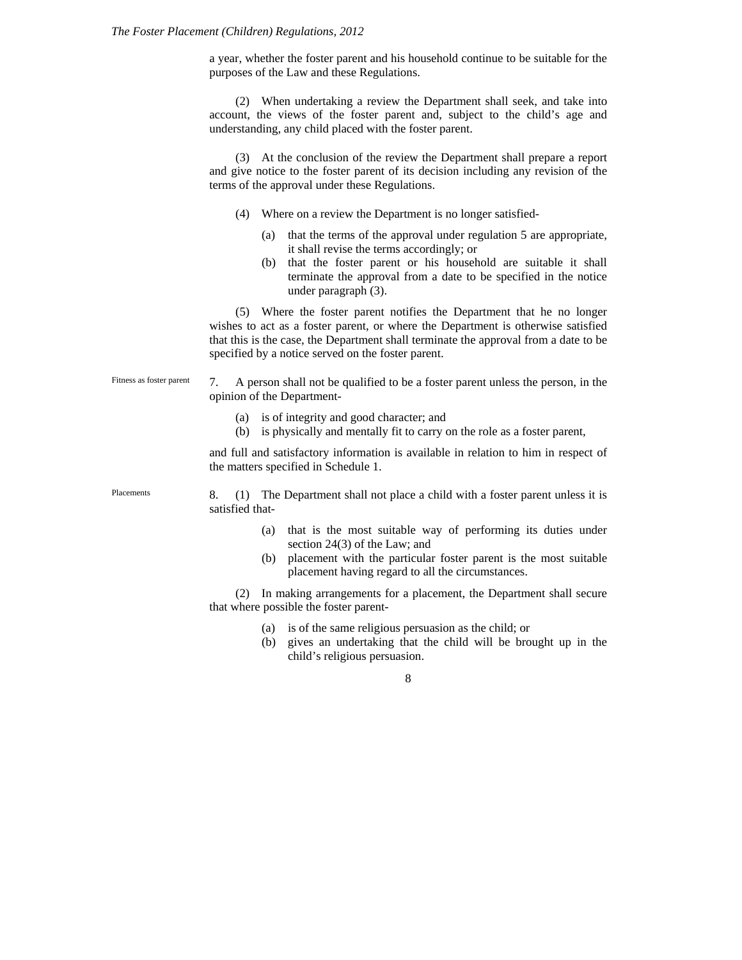a year, whether the foster parent and his household continue to be suitable for the purposes of the Law and these Regulations.

(2) When undertaking a review the Department shall seek, and take into account, the views of the foster parent and, subject to the child's age and understanding, any child placed with the foster parent.

(3) At the conclusion of the review the Department shall prepare a report and give notice to the foster parent of its decision including any revision of the terms of the approval under these Regulations.

- (4) Where on a review the Department is no longer satisfied-
	- (a) that the terms of the approval under regulation 5 are appropriate, it shall revise the terms accordingly; or
	- (b) that the foster parent or his household are suitable it shall terminate the approval from a date to be specified in the notice under paragraph (3).

(5) Where the foster parent notifies the Department that he no longer wishes to act as a foster parent, or where the Department is otherwise satisfied that this is the case, the Department shall terminate the approval from a date to be specified by a notice served on the foster parent.

Fitness as foster parent

7. A person shall not be qualified to be a foster parent unless the person, in the opinion of the Department-

- (a) is of integrity and good character; and
- (b) is physically and mentally fit to carry on the role as a foster parent,

and full and satisfactory information is available in relation to him in respect of the matters specified in Schedule 1.

Placements

8. (1) The Department shall not place a child with a foster parent unless it is satisfied that-

- (a) that is the most suitable way of performing its duties under section 24(3) of the Law; and
- (b) placement with the particular foster parent is the most suitable placement having regard to all the circumstances.

(2) In making arrangements for a placement, the Department shall secure that where possible the foster parent-

- (a) is of the same religious persuasion as the child; or
- (b) gives an undertaking that the child will be brought up in the child's religious persuasion.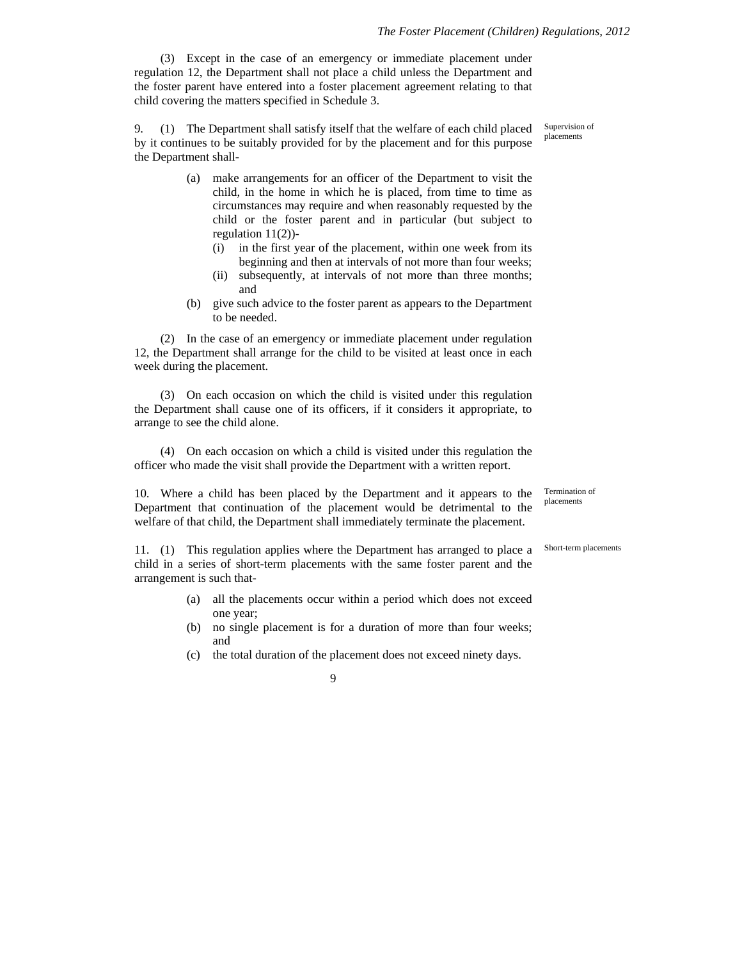(3) Except in the case of an emergency or immediate placement under regulation 12, the Department shall not place a child unless the Department and the foster parent have entered into a foster placement agreement relating to that child covering the matters specified in Schedule 3.

9. (1) The Department shall satisfy itself that the welfare of each child placed by it continues to be suitably provided for by the placement and for this purpose the Department shall-

- (a) make arrangements for an officer of the Department to visit the child, in the home in which he is placed, from time to time as circumstances may require and when reasonably requested by the child or the foster parent and in particular (but subject to regulation 11(2))-
	- (i) in the first year of the placement, within one week from its beginning and then at intervals of not more than four weeks;
	- (ii) subsequently, at intervals of not more than three months; and
- (b) give such advice to the foster parent as appears to the Department to be needed.

(2) In the case of an emergency or immediate placement under regulation 12, the Department shall arrange for the child to be visited at least once in each week during the placement.

(3) On each occasion on which the child is visited under this regulation the Department shall cause one of its officers, if it considers it appropriate, to arrange to see the child alone.

(4) On each occasion on which a child is visited under this regulation the officer who made the visit shall provide the Department with a written report.

10. Where a child has been placed by the Department and it appears to the Department that continuation of the placement would be detrimental to the welfare of that child, the Department shall immediately terminate the placement.

11. (1) This regulation applies where the Department has arranged to place a child in a series of short-term placements with the same foster parent and the arrangement is such that-

- (a) all the placements occur within a period which does not exceed one year;
- (b) no single placement is for a duration of more than four weeks; and
- (c) the total duration of the placement does not exceed ninety days.

9

Termination of placements

Short-term placements

Supervision of placements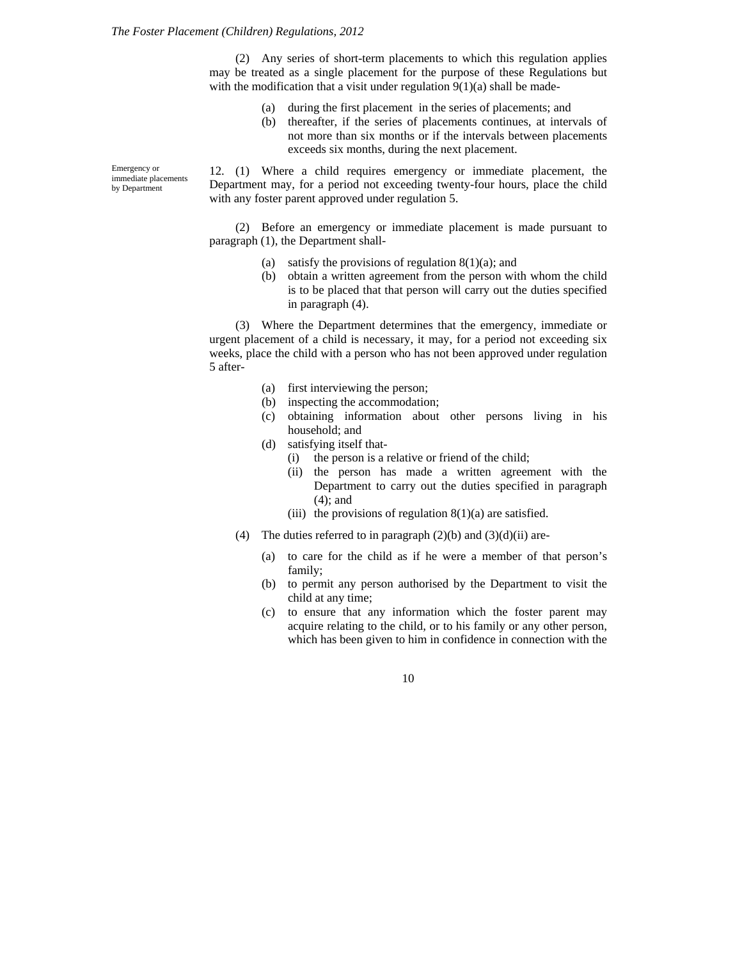(2) Any series of short-term placements to which this regulation applies may be treated as a single placement for the purpose of these Regulations but with the modification that a visit under regulation  $9(1)(a)$  shall be made-

- (a) during the first placement in the series of placements; and
- (b) thereafter, if the series of placements continues, at intervals of not more than six months or if the intervals between placements exceeds six months, during the next placement.

12. (1) Where a child requires emergency or immediate placement, the Department may, for a period not exceeding twenty-four hours, place the child with any foster parent approved under regulation 5.

(2) Before an emergency or immediate placement is made pursuant to paragraph (1), the Department shall-

- (a) satisfy the provisions of regulation  $8(1)(a)$ ; and
- (b) obtain a written agreement from the person with whom the child is to be placed that that person will carry out the duties specified in paragraph (4).

(3) Where the Department determines that the emergency, immediate or urgent placement of a child is necessary, it may, for a period not exceeding six weeks, place the child with a person who has not been approved under regulation 5 after-

- (a) first interviewing the person;
- (b) inspecting the accommodation;
- (c) obtaining information about other persons living in his household; and
- (d) satisfying itself that-
	- (i) the person is a relative or friend of the child;
	- (ii) the person has made a written agreement with the Department to carry out the duties specified in paragraph (4); and
	- (iii) the provisions of regulation  $8(1)(a)$  are satisfied.
- (4) The duties referred to in paragraph  $(2)(b)$  and  $(3)(d)(ii)$  are-
	- (a) to care for the child as if he were a member of that person's family;
	- (b) to permit any person authorised by the Department to visit the child at any time;
	- (c) to ensure that any information which the foster parent may acquire relating to the child, or to his family or any other person, which has been given to him in confidence in connection with the

10

Emergency or immediate placements by Department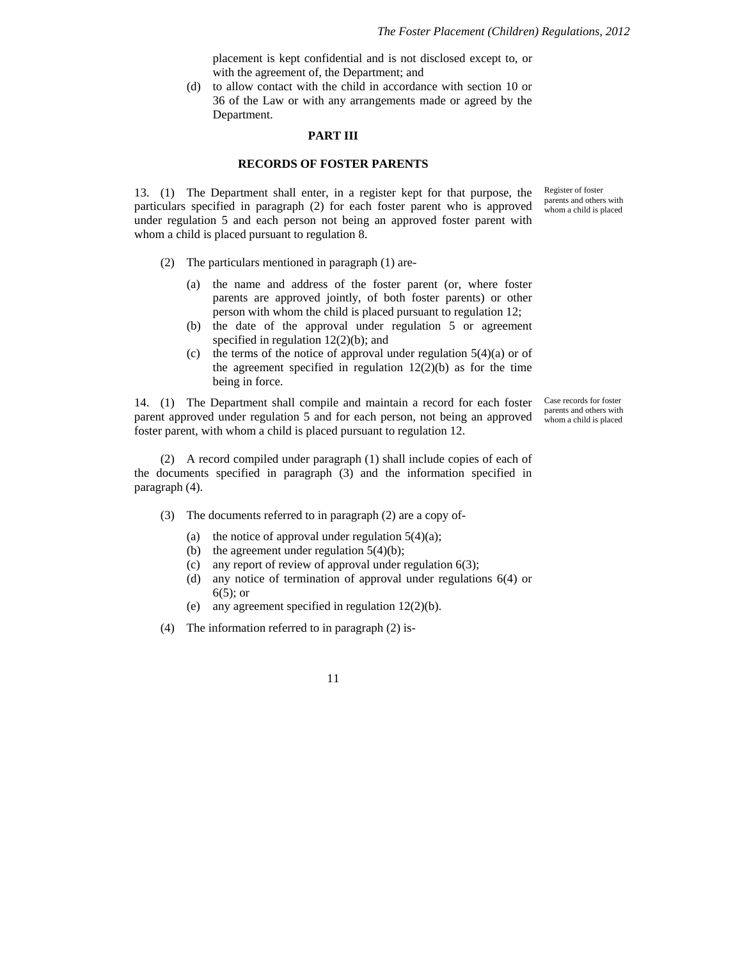placement is kept confidential and is not disclosed except to, or with the agreement of, the Department; and

(d) to allow contact with the child in accordance with section 10 or 36 of the Law or with any arrangements made or agreed by the Department.

#### **PART III**

#### **RECORDS OF FOSTER PARENTS**

13. (1) The Department shall enter, in a register kept for that purpose, the particulars specified in paragraph (2) for each foster parent who is approved under regulation 5 and each person not being an approved foster parent with whom a child is placed pursuant to regulation 8.

Register of foster parents and others with whom a child is placed

- (2) The particulars mentioned in paragraph (1) are-
	- (a) the name and address of the foster parent (or, where foster parents are approved jointly, of both foster parents) or other person with whom the child is placed pursuant to regulation 12;
	- (b) the date of the approval under regulation 5 or agreement specified in regulation 12(2)(b); and
	- (c) the terms of the notice of approval under regulation  $5(4)(a)$  or of the agreement specified in regulation  $12(2)(b)$  as for the time being in force.

14. (1) The Department shall compile and maintain a record for each foster parent approved under regulation 5 and for each person, not being an approved foster parent, with whom a child is placed pursuant to regulation 12.

(2) A record compiled under paragraph (1) shall include copies of each of the documents specified in paragraph (3) and the information specified in paragraph (4).

- (3) The documents referred to in paragraph (2) are a copy of-
	- (a) the notice of approval under regulation  $5(4)(a)$ ;
	- (b) the agreement under regulation  $5(4)(b)$ ;
	- (c) any report of review of approval under regulation 6(3);
	- (d) any notice of termination of approval under regulations 6(4) or  $6(5)$ ; or
	- (e) any agreement specified in regulation 12(2)(b).
- (4) The information referred to in paragraph (2) is-

11

Case records for foster parents and others with whom a child is placed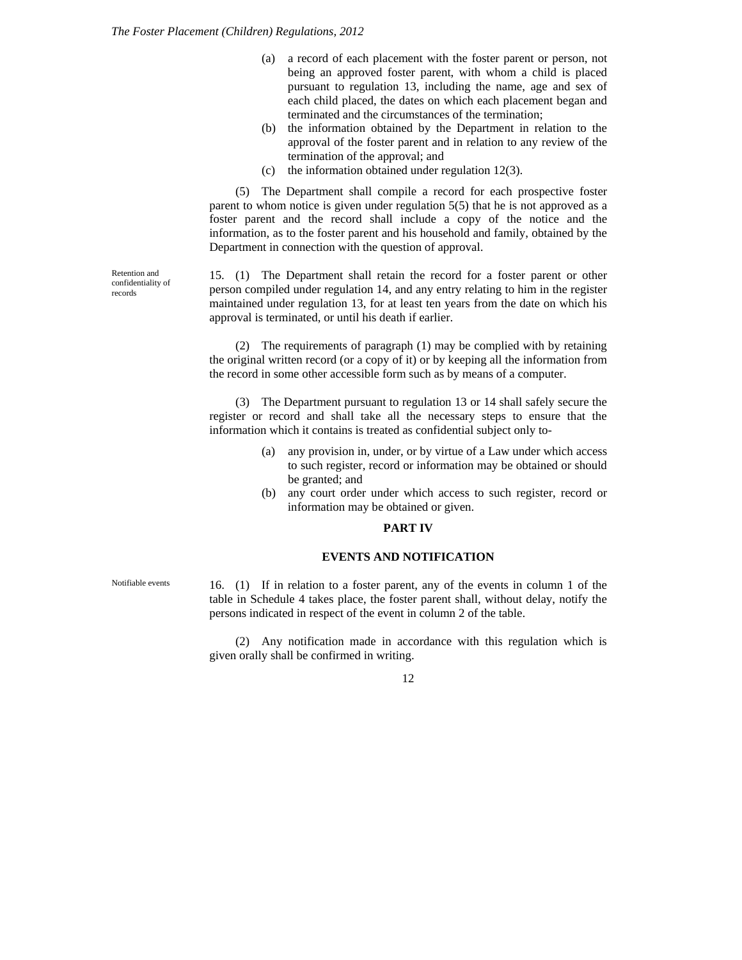- (a) a record of each placement with the foster parent or person, not being an approved foster parent, with whom a child is placed pursuant to regulation 13, including the name, age and sex of each child placed, the dates on which each placement began and terminated and the circumstances of the termination;
- (b) the information obtained by the Department in relation to the approval of the foster parent and in relation to any review of the termination of the approval; and
- (c) the information obtained under regulation 12(3).

(5) The Department shall compile a record for each prospective foster parent to whom notice is given under regulation 5(5) that he is not approved as a foster parent and the record shall include a copy of the notice and the information, as to the foster parent and his household and family, obtained by the Department in connection with the question of approval.

15. (1) The Department shall retain the record for a foster parent or other person compiled under regulation 14, and any entry relating to him in the register maintained under regulation 13, for at least ten years from the date on which his approval is terminated, or until his death if earlier.

(2) The requirements of paragraph (1) may be complied with by retaining the original written record (or a copy of it) or by keeping all the information from the record in some other accessible form such as by means of a computer.

(3) The Department pursuant to regulation 13 or 14 shall safely secure the register or record and shall take all the necessary steps to ensure that the information which it contains is treated as confidential subject only to-

- (a) any provision in, under, or by virtue of a Law under which access to such register, record or information may be obtained or should be granted; and
- (b) any court order under which access to such register, record or information may be obtained or given.

### **PART IV**

#### **EVENTS AND NOTIFICATION**

Notifiable events

16. (1) If in relation to a foster parent, any of the events in column 1 of the table in Schedule 4 takes place, the foster parent shall, without delay, notify the persons indicated in respect of the event in column 2 of the table.

(2) Any notification made in accordance with this regulation which is given orally shall be confirmed in writing.

12

Retention and confidentiality of records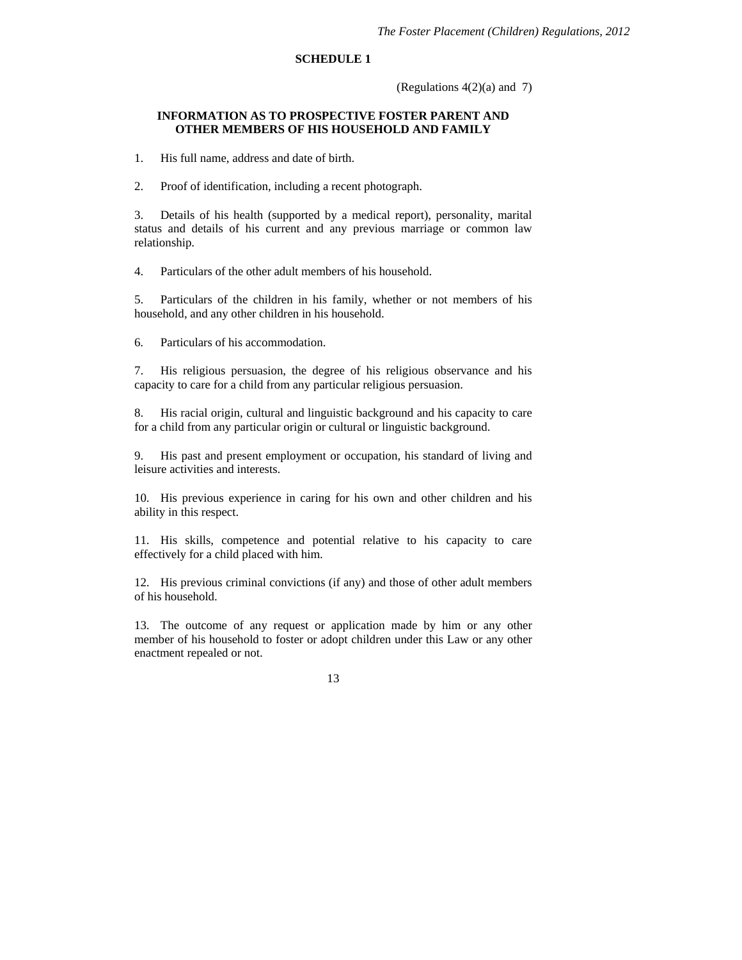### **SCHEDULE 1**

(Regulations  $4(2)(a)$  and 7)

## **INFORMATION AS TO PROSPECTIVE FOSTER PARENT AND OTHER MEMBERS OF HIS HOUSEHOLD AND FAMILY**

- 1. His full name, address and date of birth.
- 2. Proof of identification, including a recent photograph.

3. Details of his health (supported by a medical report), personality, marital status and details of his current and any previous marriage or common law relationship.

4. Particulars of the other adult members of his household.

5. Particulars of the children in his family, whether or not members of his household, and any other children in his household.

6. Particulars of his accommodation.

7. His religious persuasion, the degree of his religious observance and his capacity to care for a child from any particular religious persuasion.

8. His racial origin, cultural and linguistic background and his capacity to care for a child from any particular origin or cultural or linguistic background.

9. His past and present employment or occupation, his standard of living and leisure activities and interests.

10. His previous experience in caring for his own and other children and his ability in this respect.

11. His skills, competence and potential relative to his capacity to care effectively for a child placed with him.

12. His previous criminal convictions (if any) and those of other adult members of his household.

13. The outcome of any request or application made by him or any other member of his household to foster or adopt children under this Law or any other enactment repealed or not.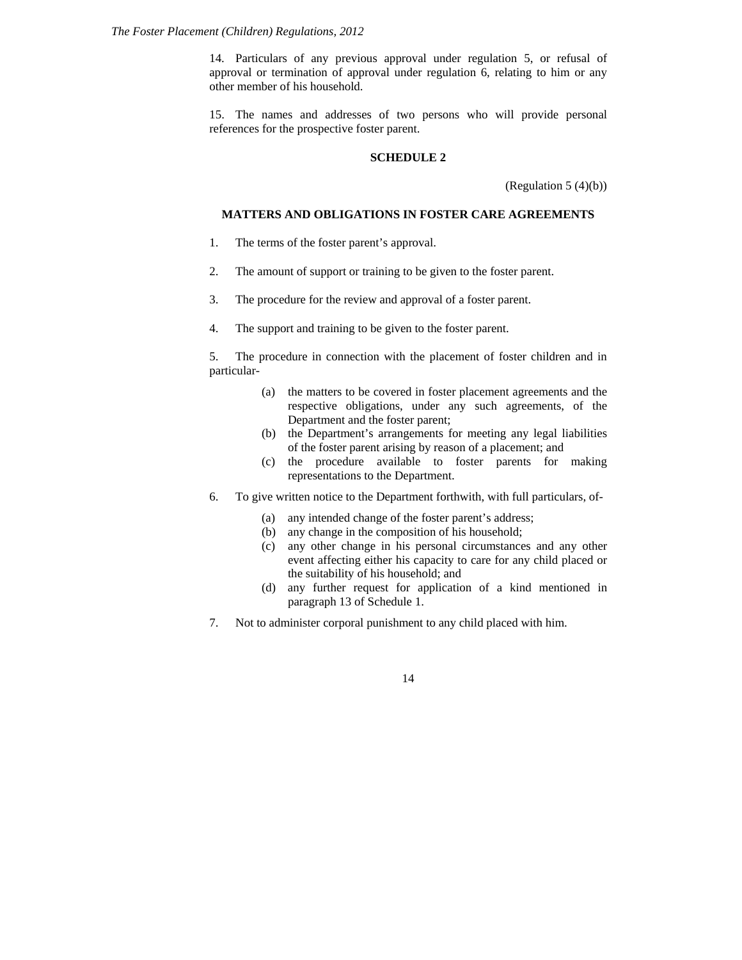14. Particulars of any previous approval under regulation 5, or refusal of approval or termination of approval under regulation 6, relating to him or any other member of his household.

15. The names and addresses of two persons who will provide personal references for the prospective foster parent.

#### **SCHEDULE 2**

(Regulation 5 (4)(b))

### **MATTERS AND OBLIGATIONS IN FOSTER CARE AGREEMENTS**

- 1. The terms of the foster parent's approval.
- 2. The amount of support or training to be given to the foster parent.
- 3. The procedure for the review and approval of a foster parent.
- 4. The support and training to be given to the foster parent.

5. The procedure in connection with the placement of foster children and in particular-

- (a) the matters to be covered in foster placement agreements and the respective obligations, under any such agreements, of the Department and the foster parent;
- (b) the Department's arrangements for meeting any legal liabilities of the foster parent arising by reason of a placement; and
- (c) the procedure available to foster parents for making representations to the Department.
- 6. To give written notice to the Department forthwith, with full particulars, of-
	- (a) any intended change of the foster parent's address;
	- (b) any change in the composition of his household;
	- (c) any other change in his personal circumstances and any other event affecting either his capacity to care for any child placed or the suitability of his household; and
	- (d) any further request for application of a kind mentioned in paragraph 13 of Schedule 1.
- 7. Not to administer corporal punishment to any child placed with him.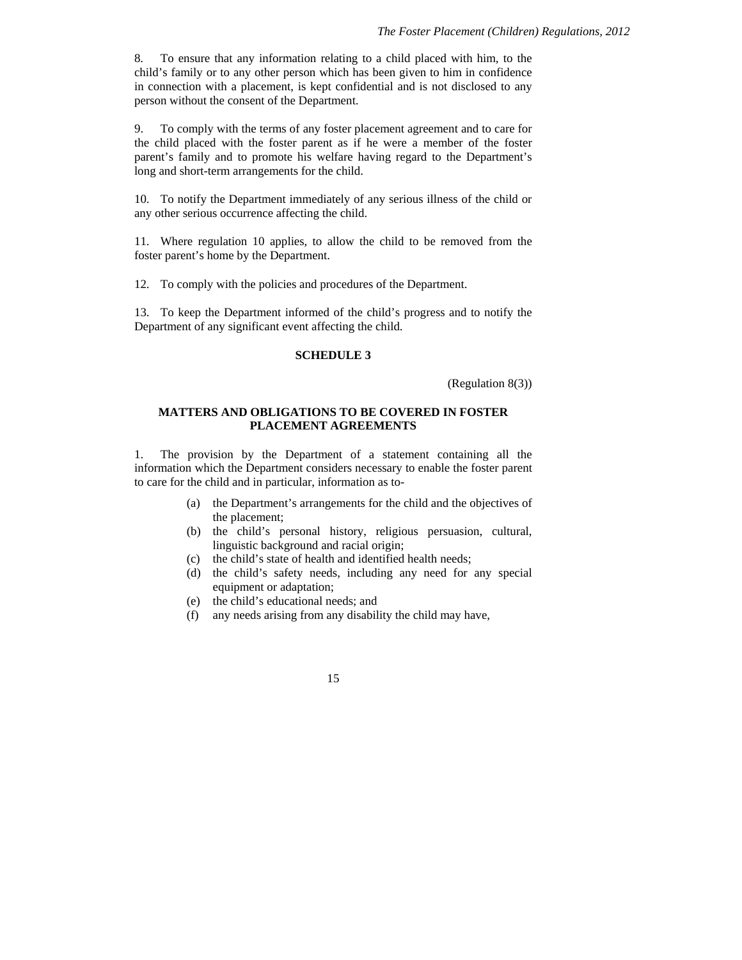8. To ensure that any information relating to a child placed with him, to the child's family or to any other person which has been given to him in confidence in connection with a placement, is kept confidential and is not disclosed to any person without the consent of the Department.

9. To comply with the terms of any foster placement agreement and to care for the child placed with the foster parent as if he were a member of the foster parent's family and to promote his welfare having regard to the Department's long and short-term arrangements for the child.

10. To notify the Department immediately of any serious illness of the child or any other serious occurrence affecting the child.

11. Where regulation 10 applies, to allow the child to be removed from the foster parent's home by the Department.

12. To comply with the policies and procedures of the Department.

13. To keep the Department informed of the child's progress and to notify the Department of any significant event affecting the child.

#### **SCHEDULE 3**

(Regulation 8(3))

#### **MATTERS AND OBLIGATIONS TO BE COVERED IN FOSTER PLACEMENT AGREEMENTS**

1. The provision by the Department of a statement containing all the information which the Department considers necessary to enable the foster parent to care for the child and in particular, information as to-

- (a) the Department's arrangements for the child and the objectives of the placement;
- (b) the child's personal history, religious persuasion, cultural, linguistic background and racial origin;
- (c) the child's state of health and identified health needs;
- (d) the child's safety needs, including any need for any special equipment or adaptation;
- (e) the child's educational needs; and
- (f) any needs arising from any disability the child may have,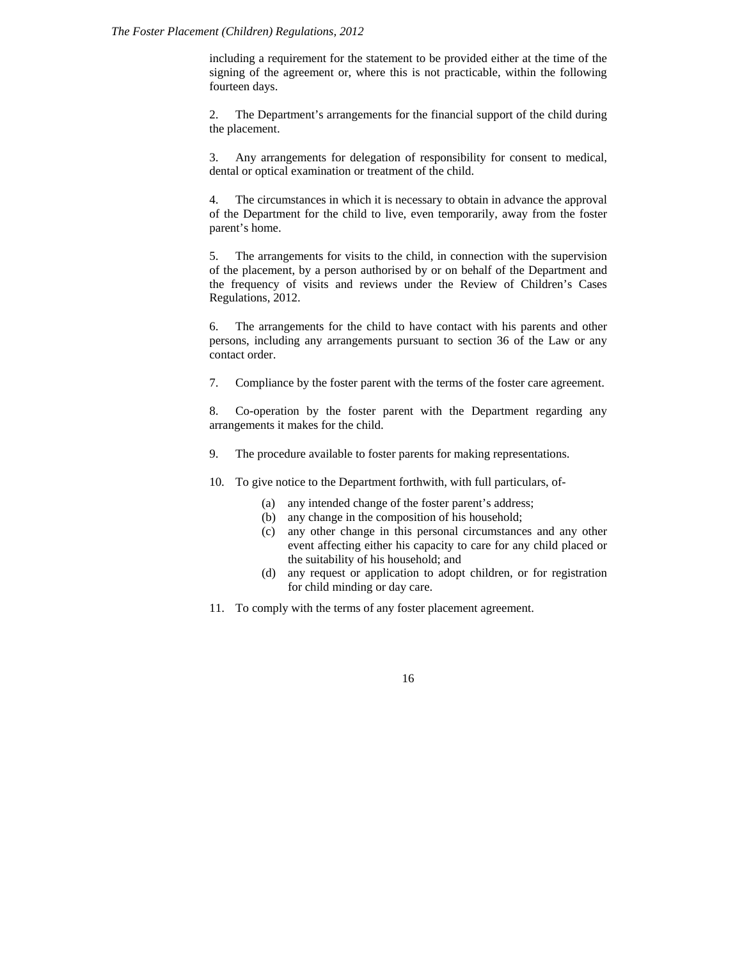including a requirement for the statement to be provided either at the time of the signing of the agreement or, where this is not practicable, within the following fourteen days.

2. The Department's arrangements for the financial support of the child during the placement.

3. Any arrangements for delegation of responsibility for consent to medical, dental or optical examination or treatment of the child.

4. The circumstances in which it is necessary to obtain in advance the approval of the Department for the child to live, even temporarily, away from the foster parent's home.

5. The arrangements for visits to the child, in connection with the supervision of the placement, by a person authorised by or on behalf of the Department and the frequency of visits and reviews under the Review of Children's Cases Regulations, 2012.

6. The arrangements for the child to have contact with his parents and other persons, including any arrangements pursuant to section 36 of the Law or any contact order.

7. Compliance by the foster parent with the terms of the foster care agreement.

8. Co-operation by the foster parent with the Department regarding any arrangements it makes for the child.

- 9. The procedure available to foster parents for making representations.
- 10. To give notice to the Department forthwith, with full particulars, of-
	- (a) any intended change of the foster parent's address;
	- (b) any change in the composition of his household;
	- (c) any other change in this personal circumstances and any other event affecting either his capacity to care for any child placed or the suitability of his household; and
	- (d) any request or application to adopt children, or for registration for child minding or day care.
- 11. To comply with the terms of any foster placement agreement.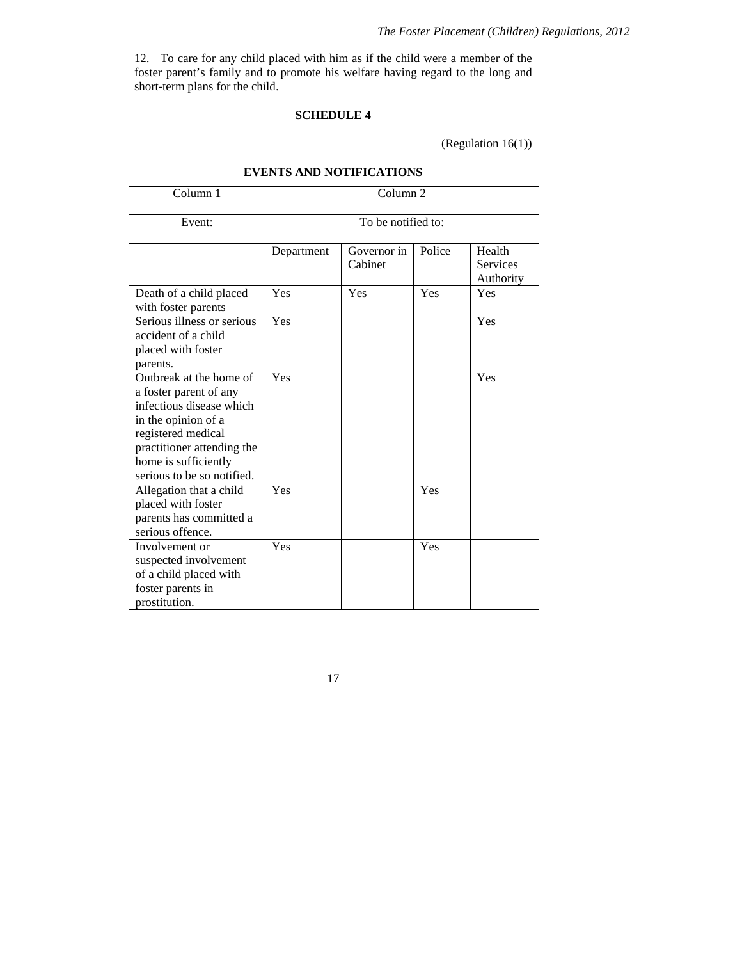12. To care for any child placed with him as if the child were a member of the foster parent's family and to promote his welfare having regard to the long and short-term plans for the child.

## **SCHEDULE 4**

(Regulation 16(1))

| Column <sub>1</sub>                                                                                                                                                                                            | Column <sub>2</sub> |                        |        |                                        |  |
|----------------------------------------------------------------------------------------------------------------------------------------------------------------------------------------------------------------|---------------------|------------------------|--------|----------------------------------------|--|
| Event:                                                                                                                                                                                                         | To be notified to:  |                        |        |                                        |  |
|                                                                                                                                                                                                                | Department          | Governor in<br>Cabinet | Police | Health<br><b>Services</b><br>Authority |  |
| Death of a child placed<br>with foster parents                                                                                                                                                                 | Yes                 | Yes                    | Yes    | Yes                                    |  |
| Serious illness or serious<br>accident of a child<br>placed with foster<br>parents.                                                                                                                            | Yes                 |                        |        | Yes                                    |  |
| Outbreak at the home of<br>a foster parent of any<br>infectious disease which<br>in the opinion of a<br>registered medical<br>practitioner attending the<br>home is sufficiently<br>serious to be so notified. | Yes                 |                        |        | Yes                                    |  |
| Allegation that a child<br>placed with foster<br>parents has committed a<br>serious offence.                                                                                                                   | Yes                 |                        | Yes    |                                        |  |
| Involvement or<br>suspected involvement<br>of a child placed with<br>foster parents in<br>prostitution.                                                                                                        | Yes                 |                        | Yes    |                                        |  |

## **EVENTS AND NOTIFICATIONS**